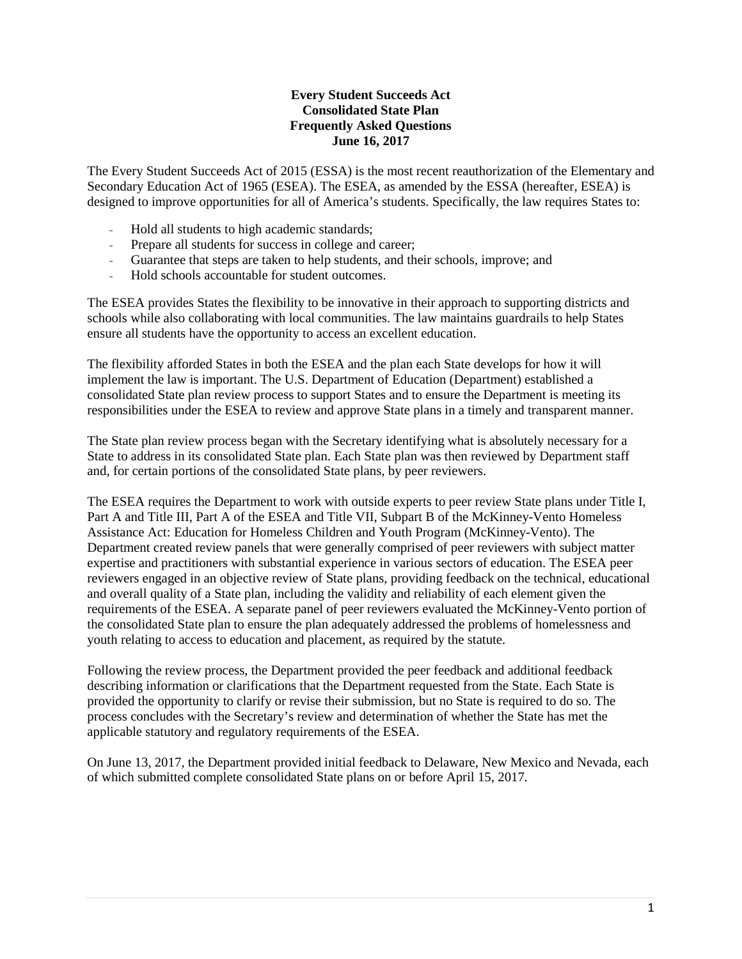## **Every Student Succeeds Act Consolidated State Plan Frequently Asked Questions June 16, 2017**

The Every Student Succeeds Act of 2015 (ESSA) is the most recent reauthorization of the Elementary and Secondary Education Act of 1965 (ESEA). The ESEA, as amended by the ESSA (hereafter, ESEA) is designed to improve opportunities for all of America's students. Specifically, the law requires States to:

- Hold all students to high academic standards;
- Prepare all students for success in college and career;
- Guarantee that steps are taken to help students, and their schools, improve; and
- Hold schools accountable for student outcomes.

The ESEA provides States the flexibility to be innovative in their approach to supporting districts and schools while also collaborating with local communities. The law maintains guardrails to help States ensure all students have the opportunity to access an excellent education.

The flexibility afforded States in both the ESEA and the plan each State develops for how it will implement the law is important. The U.S. Department of Education (Department) established a consolidated State plan review process to support States and to ensure the Department is meeting its responsibilities under the ESEA to review and approve State plans in a timely and transparent manner.

The State plan review process began with the Secretary identifying what is absolutely necessary for a State to address in its consolidated State plan. Each State plan was then reviewed by Department staff and, for certain portions of the consolidated State plans, by peer reviewers.

The ESEA requires the Department to work with outside experts to peer review State plans under Title I, Part A and Title III, Part A of the ESEA and Title VII, Subpart B of the McKinney-Vento Homeless Assistance Act: Education for Homeless Children and Youth Program (McKinney-Vento). The Department created review panels that were generally comprised of peer reviewers with subject matter expertise and practitioners with substantial experience in various sectors of education. The ESEA peer reviewers engaged in an objective review of State plans, providing feedback on the technical, educational and overall quality of a State plan, including the validity and reliability of each element given the requirements of the ESEA. A separate panel of peer reviewers evaluated the McKinney-Vento portion of the consolidated State plan to ensure the plan adequately addressed the problems of homelessness and youth relating to access to education and placement, as required by the statute.

Following the review process, the Department provided the peer feedback and additional feedback describing information or clarifications that the Department requested from the State. Each State is provided the opportunity to clarify or revise their submission, but no State is required to do so. The process concludes with the Secretary's review and determination of whether the State has met the applicable statutory and regulatory requirements of the ESEA.

On June 13, 2017, the Department provided initial feedback to Delaware, New Mexico and Nevada, each of which submitted complete consolidated State plans on or before April 15, 2017.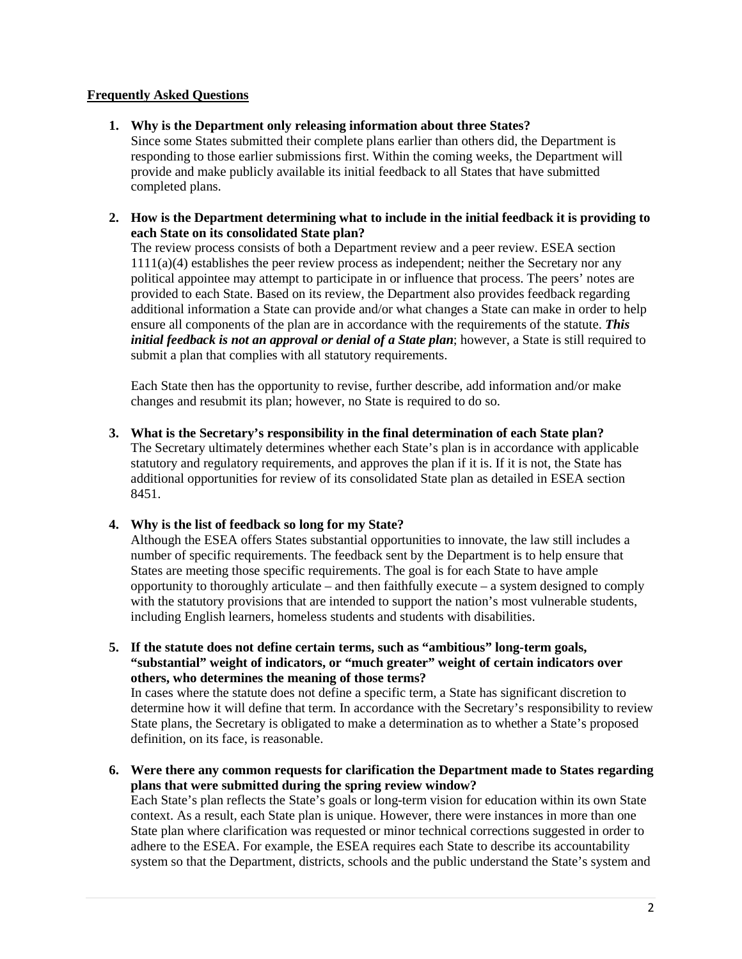## **Frequently Asked Questions**

## **1. Why is the Department only releasing information about three States?**

Since some States submitted their complete plans earlier than others did, the Department is responding to those earlier submissions first. Within the coming weeks, the Department will provide and make publicly available its initial feedback to all States that have submitted completed plans.

## **2. How is the Department determining what to include in the initial feedback it is providing to each State on its consolidated State plan?**

The review process consists of both a Department review and a peer review. ESEA section  $1111(a)(4)$  establishes the peer review process as independent; neither the Secretary nor any political appointee may attempt to participate in or influence that process. The peers' notes are provided to each State. Based on its review, the Department also provides feedback regarding additional information a State can provide and/or what changes a State can make in order to help ensure all components of the plan are in accordance with the requirements of the statute. *This initial feedback is not an approval or denial of a State plan*; however, a State is still required to submit a plan that complies with all statutory requirements.

Each State then has the opportunity to revise, further describe, add information and/or make changes and resubmit its plan; however, no State is required to do so.

**3. What is the Secretary's responsibility in the final determination of each State plan?** The Secretary ultimately determines whether each State's plan is in accordance with applicable statutory and regulatory requirements, and approves the plan if it is. If it is not, the State has additional opportunities for review of its consolidated State plan as detailed in ESEA section 8451.

#### **4. Why is the list of feedback so long for my State?**

Although the ESEA offers States substantial opportunities to innovate, the law still includes a number of specific requirements. The feedback sent by the Department is to help ensure that States are meeting those specific requirements. The goal is for each State to have ample opportunity to thoroughly articulate – and then faithfully execute – a system designed to comply with the statutory provisions that are intended to support the nation's most vulnerable students, including English learners, homeless students and students with disabilities.

**5. If the statute does not define certain terms, such as "ambitious" long-term goals, "substantial" weight of indicators, or "much greater" weight of certain indicators over others, who determines the meaning of those terms?**

In cases where the statute does not define a specific term, a State has significant discretion to determine how it will define that term. In accordance with the Secretary's responsibility to review State plans, the Secretary is obligated to make a determination as to whether a State's proposed definition, on its face, is reasonable.

**6. Were there any common requests for clarification the Department made to States regarding plans that were submitted during the spring review window?**

Each State's plan reflects the State's goals or long-term vision for education within its own State context. As a result, each State plan is unique. However, there were instances in more than one State plan where clarification was requested or minor technical corrections suggested in order to adhere to the ESEA. For example, the ESEA requires each State to describe its accountability system so that the Department, districts, schools and the public understand the State's system and